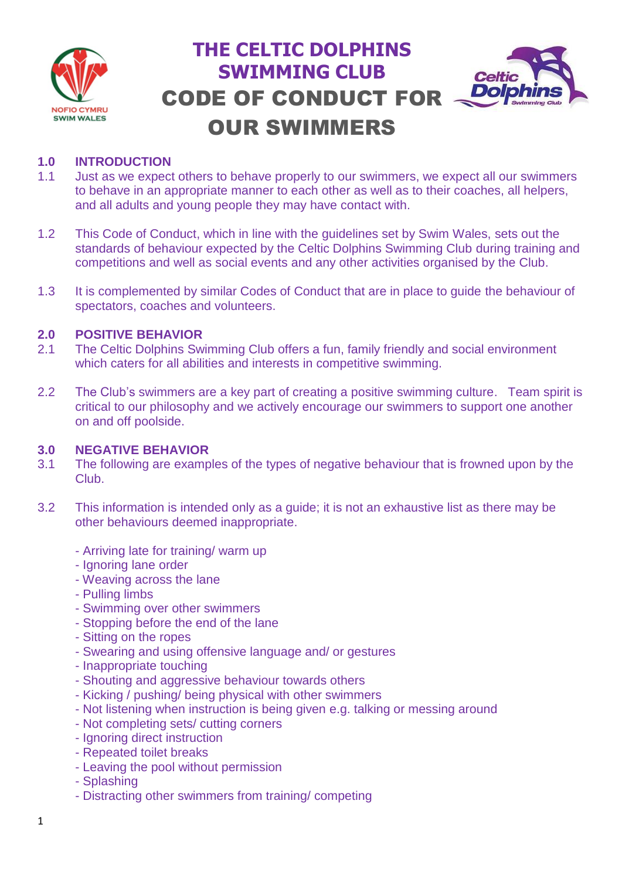

# **THE CELTIC DOLPHINS SWIMMING CLUB** CODE OF CONDUCT FOR OUR SWIMMERS



## **1.0 INTRODUCTION**

- 1.1 Just as we expect others to behave properly to our swimmers, we expect all our swimmers to behave in an appropriate manner to each other as well as to their coaches, all helpers, and all adults and young people they may have contact with.
- 1.2 This Code of Conduct, which in line with the guidelines set by Swim Wales, sets out the standards of behaviour expected by the Celtic Dolphins Swimming Club during training and competitions and well as social events and any other activities organised by the Club.
- 1.3 It is complemented by similar Codes of Conduct that are in place to guide the behaviour of spectators, coaches and volunteers.

#### **2.0 POSITIVE BEHAVIOR**

- 2.1 The Celtic Dolphins Swimming Club offers a fun, family friendly and social environment which caters for all abilities and interests in competitive swimming.
- 2.2 The Club's swimmers are a key part of creating a positive swimming culture. Team spirit is critical to our philosophy and we actively encourage our swimmers to support one another on and off poolside.

#### **3.0 NEGATIVE BEHAVIOR**

- 3.1 The following are examples of the types of negative behaviour that is frowned upon by the Club.
- 3.2 This information is intended only as a guide; it is not an exhaustive list as there may be other behaviours deemed inappropriate.
	- Arriving late for training/ warm up
	- Ignoring lane order
	- Weaving across the lane
	- Pulling limbs
	- Swimming over other swimmers
	- Stopping before the end of the lane
	- Sitting on the ropes
	- Swearing and using offensive language and/ or gestures
	- Inappropriate touching
	- Shouting and aggressive behaviour towards others
	- Kicking / pushing/ being physical with other swimmers
	- Not listening when instruction is being given e.g. talking or messing around
	- Not completing sets/ cutting corners
	- Ignoring direct instruction
	- Repeated toilet breaks
	- Leaving the pool without permission
	- Splashing
	- Distracting other swimmers from training/ competing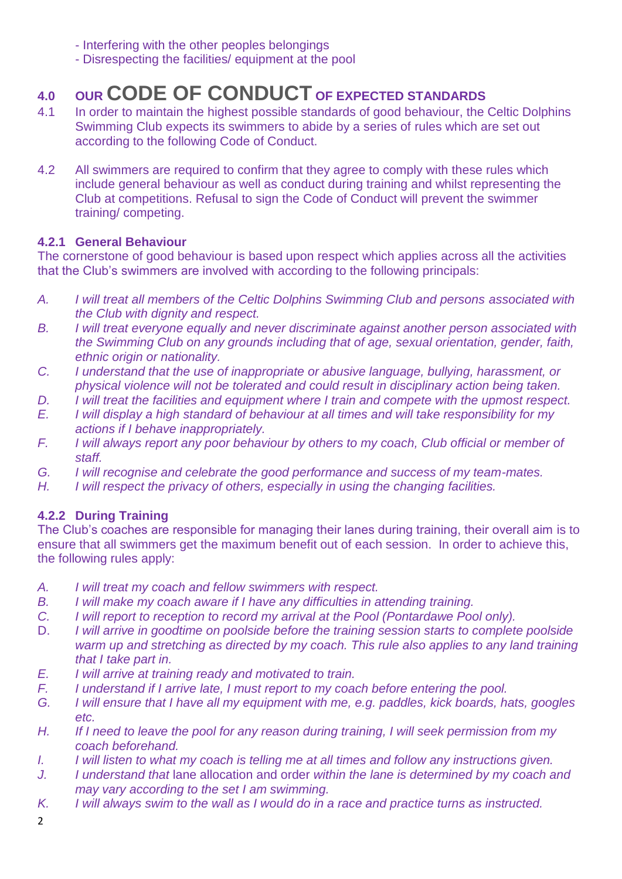- Interfering with the other peoples belongings
- Disrespecting the facilities/ equipment at the pool

## **4.0 OUR CODE OF CONDUCT OF EXPECTED STANDARDS**

- 4.1 In order to maintain the highest possible standards of good behaviour, the Celtic Dolphins Swimming Club expects its swimmers to abide by a series of rules which are set out according to the following Code of Conduct.
- 4.2 All swimmers are required to confirm that they agree to comply with these rules which include general behaviour as well as conduct during training and whilst representing the Club at competitions. Refusal to sign the Code of Conduct will prevent the swimmer training/ competing.

### **4.2.1 General Behaviour**

The cornerstone of good behaviour is based upon respect which applies across all the activities that the Club's swimmers are involved with according to the following principals:

- *A. I will treat all members of the Celtic Dolphins Swimming Club and persons associated with the Club with dignity and respect.*
- *B. I will treat everyone equally and never discriminate against another person associated with the Swimming Club on any grounds including that of age, sexual orientation, gender, faith, ethnic origin or nationality.*
- *C. I understand that the use of inappropriate or abusive language, bullying, harassment, or physical violence will not be tolerated and could result in disciplinary action being taken.*
- *D. I will treat the facilities and equipment where I train and compete with the upmost respect.*
- *E. I will display a high standard of behaviour at all times and will take responsibility for my actions if I behave inappropriately.*
- *F. I will always report any poor behaviour by others to my coach, Club official or member of staff.*
- *G. I will recognise and celebrate the good performance and success of my team-mates.*
- *H. I will respect the privacy of others, especially in using the changing facilities.*

## **4.2.2 During Training**

The Club's coaches are responsible for managing their lanes during training, their overall aim is to ensure that all swimmers get the maximum benefit out of each session. In order to achieve this, the following rules apply:

- *A. I will treat my coach and fellow swimmers with respect.*
- *B. I will make my coach aware if I have any difficulties in attending training.*
- *C. I will report to reception to record my arrival at the Pool (Pontardawe Pool only).*
- D. *I will arrive in goodtime on poolside before the training session starts to complete poolside warm up and stretching as directed by my coach. This rule also applies to any land training that I take part in.*
- *E. I will arrive at training ready and motivated to train.*
- *F. I understand if I arrive late, I must report to my coach before entering the pool.*
- *G. I will ensure that I have all my equipment with me, e.g. paddles, kick boards, hats, googles etc.*
- *H. If I need to leave the pool for any reason during training, I will seek permission from my coach beforehand.*
- *I. I will listen to what my coach is telling me at all times and follow any instructions given.*
- *J. I understand that* lane allocation and order *within the lane is determined by my coach and may vary according to the set I am swimming.*
- *K. I will always swim to the wall as I would do in a race and practice turns as instructed.*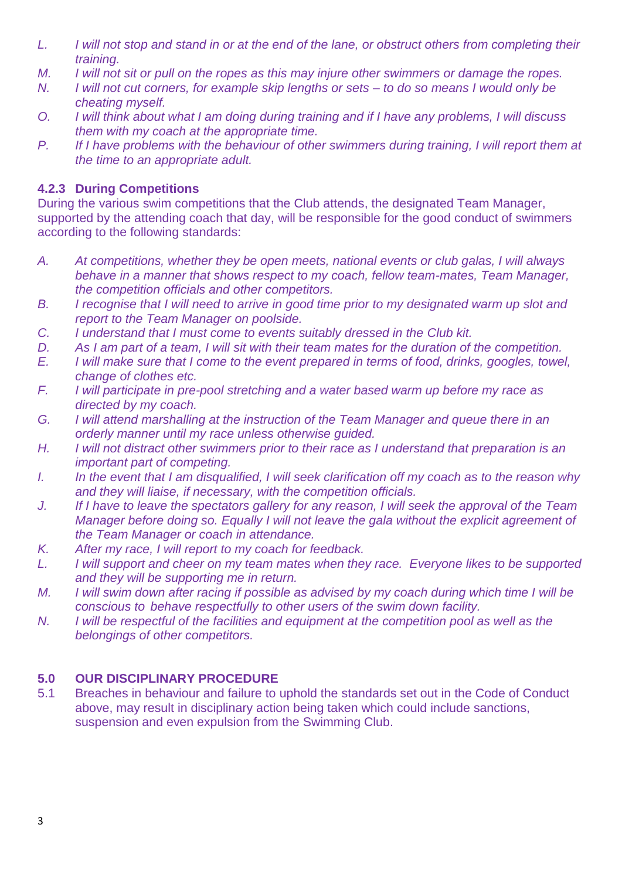- *L. I will not stop and stand in or at the end of the lane, or obstruct others from completing their training.*
- *M. I will not sit or pull on the ropes as this may injure other swimmers or damage the ropes.*
- *N. I will not cut corners, for example skip lengths or sets – to do so means I would only be cheating myself.*
- *O. I will think about what I am doing during training and if I have any problems, I will discuss them with my coach at the appropriate time.*
- *P. If I have problems with the behaviour of other swimmers during training, I will report them at the time to an appropriate adult.*

## **4.2.3 During Competitions**

During the various swim competitions that the Club attends, the designated Team Manager, supported by the attending coach that day, will be responsible for the good conduct of swimmers according to the following standards:

- *A. At competitions, whether they be open meets, national events or club galas, I will always behave in a manner that shows respect to my coach, fellow team-mates, Team Manager, the competition officials and other competitors.*
- *B. I recognise that I will need to arrive in good time prior to my designated warm up slot and report to the Team Manager on poolside.*
- *C. I understand that I must come to events suitably dressed in the Club kit.*
- *D. As I am part of a team, I will sit with their team mates for the duration of the competition.*
- *E. I will make sure that I come to the event prepared in terms of food, drinks, googles, towel, change of clothes etc.*
- *F. I will participate in pre-pool stretching and a water based warm up before my race as directed by my coach.*
- *G. I will attend marshalling at the instruction of the Team Manager and queue there in an orderly manner until my race unless otherwise guided.*
- *H. I will not distract other swimmers prior to their race as I understand that preparation is an important part of competing.*
- *I. In the event that I am disqualified, I will seek clarification off my coach as to the reason why and they will liaise, if necessary, with the competition officials.*
- *J. If I have to leave the spectators gallery for any reason, I will seek the approval of the Team Manager before doing so. Equally I will not leave the gala without the explicit agreement of the Team Manager or coach in attendance.*
- *K. After my race, I will report to my coach for feedback.*
- *L. I will support and cheer on my team mates when they race. Everyone likes to be supported and they will be supporting me in return.*
- *M. I will swim down after racing if possible as advised by my coach during which time I will be conscious to behave respectfully to other users of the swim down facility.*
- *N. I will be respectful of the facilities and equipment at the competition pool as well as the belongings of other competitors.*

## **5.0 OUR DISCIPLINARY PROCEDURE**

5.1 Breaches in behaviour and failure to uphold the standards set out in the Code of Conduct above, may result in disciplinary action being taken which could include sanctions, suspension and even expulsion from the Swimming Club.